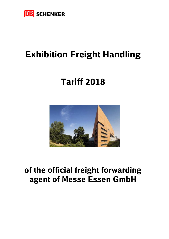

## **Exhibition Freight Handling**

# **Tariff 2018**



## **of the official freight forwarding agent of Messe Essen GmbH**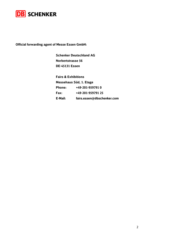

**Official forwarding agent of Messe Essen GmbH:** 

**Schenker Deutschland AG Norbertstrasse 56 DE-45131 Essen** 

**Fairs & Exhibitions Messehaus Süd, 1. Etage Phone: +49-201-959791 0 Fax: +49-201-959791 25 E-Mail: fairs.essen@dbschenker.com**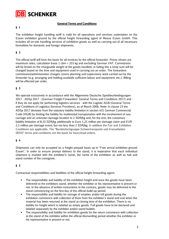

#### **General Terms and Conditions**

#### **§ 1**

The exhibition freight handling tariff is valid for all operations and services undertaken on the Essen exhibition ground by the official freight forwarding agent of Messe Essen GmbH. This includes all on-site handling services of exhibition goods as well as carrying out of all necessary formalities for domestic and foreign shipments.

#### **§ 2**

The official tariff will form the basis for all invoices by the official forwarder. Prices shown are maximum rates, calculation basis 1 cbm = 333 kg and excluding German VAT. Commission will be levied on the chargeable weight of the goods handled, or failing this a lump sum will be charged based on the time and equipment used in carrying out an order. The forwarders commission/administration charges covers planning and supervisory work carried out by the forwarder (e.g. arranging and holding available sufficient labour and equipment, etc.). Billing will be effected per order.

#### **§ 3**

We operate exclusively in accordance with the Allgemeine Deutsche Spediteurbedingungen 2017 - ADSp 2017 - (German Freight Forwarders' General Terms and Conditions 2017) and if they do not apply for performing logistics services - with the Logistic-AGB (General Terms and Conditions of Logistics-Services Providers), as of March 2006. Note: In clause 23 the ADSp 2017 deviates from the statutory liability limitation in section 431 German Commercial Code (HGB) by limiting the liability for multimodal transportation with the involvement of sea carriage and an unknown damage location to 2 SDR/kg and, for the rest, the customary liability limitation of 8,33 SDR/kg additionally to Euro 1,25 million per damage claim and EUR 2,5 million per damage event, but not less than 2 SDR/kg. In addition the Fair and Exhibition Conditions are applicable. The "Bundesfachgruppe Schwertransporte und Kranarbeiten (BSK)" terms and conditions are the basis for heavyload orders.

#### **§ 4**

Shipments can only be accepted on a freight prepaid basis up to "Free arrival exhibition ground Essen". In order to ensure prompt delivery to the stand, it is imperative that each individual shipment is marked with the exhibitor's name, the name of the exhibition as well as hall and stand number of the consignee.

#### **§ 5**

Contractual responsibilities and liabilities of the official freight forwarding agent:

- The responsibility and liability of the exhibition freight end once the goods have been delivered to the exhibitors stand, whether the exhibitor or his representative is present or not. In the absence of written instructions to the contrary, goods may be delivered to the stand commencing on the first day of the official build-up period.
- The responsibility and liability for storage of empties and/or full goods during the exhibition commence with collection of them from the exhibitor's stand and end when the material has been returned at the stand at closing time of the exhibition. There is no liability for freight which is labeled as empty goods. Full goods have to be declared and labeled separately by the exhibitor and/or stand builder.
- The responsibility and liability for exhibition goods for the return commence with collection at the stand of the exhibitor within the official dismantling period whether the exhibitor or his representative is present or not.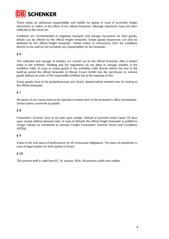**SCHENKER** 

There exists no admission responsibility and liability for goods in case of surrender freight documents or orders at the office of the official forwarder, although shipments have not been collected at the stand yet.

Exhibitors are recommended to negotiate transport and storage insurances for their goods, details can be offered by the official freight forwarder. Empty goods insurances can only be obtained by the official freight forwarder. Verbal orders or instructions from the exhibitors directly to the staff do not constitute any responsibility for the forwarder.

#### **§ 6**

The collection and storage of empties are carried out by the official forwarder after a written order of the exhibitor. Building and fire regulations do not allow to storage empties in the exhibition halls. In case of empty goods in the exhibition halls directly before the end of the build-up period the official forwarder of Messe Essen GmbH has the permission to remove goods without an order of the responsible exhibitor but at the expense of him.

Empty goods have to be packed/secured and clearly labeled before handed over for storing to the official forwarder.

#### **§ 7**

All claims of any nature have to be reported in written form to the forwarder's office immediately. Verbal claims cannot be accepted.

#### **§ 8**

Forwarders' invoices have to be paid upon receipt. Default of payment enters latest 10 days upon receipt without demand note. In case of defaults the official freight forwarder is entitled to charge interest as mentioned at German Freight Forwarders' General Terms and Conditions (ADSp).

#### **§ 9**

Essen is the sole place of performance for all contractual obligations. The place of jurisdiction in case of legal matters for both parties is Essen.

#### **§ 10**

The present tariff is valid from  $01<sup>st</sup>$  of January 2016. All previous tariffs lose validity.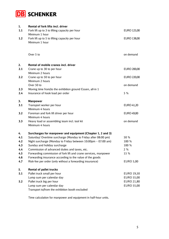

| 1.  | <b>Rental of fork lifts incl. driver</b>                                           |                  |
|-----|------------------------------------------------------------------------------------|------------------|
| 1.1 | Fork lift up to 3 to lifting capacity per hour                                     | EURO 125,00      |
| 1.2 | Minimum 1 hour<br>Fork lift up to 5 to lifting capacity per hour<br>Minimum 1 hour | EURO 138,00      |
|     | Over 5 to                                                                          | on demand        |
| 2.  | Rental of mobile cranes incl. driver                                               |                  |
| 2.1 | Crane up to 30 to per hour                                                         | EURO 200,00      |
|     | Minimum 2 hours                                                                    |                  |
| 2.2 | Crane up to 50 to per hour                                                         | EURO 220,00      |
|     | Minimum 2 hours                                                                    |                  |
|     | Over 50 to                                                                         | on demand        |
| 2.3 | Moving time from/to the exhibition ground Essen, all-in 1                          | 5 %              |
| 2.4 | Insurance of hook load per order                                                   |                  |
| 3.  | <b>Manpower</b>                                                                    |                  |
| 3.1 | Transport worker per hour                                                          | EURO 41,20       |
|     | Minimum 4 hours                                                                    |                  |
| 3.2 | Foreman and fork lift driver per hour                                              | EURO 49,00       |
|     | Minimum 4 hours                                                                    |                  |
| 3.3 | Heavy load or assembling team incl. tool kit<br>Minimum 4 hours                    | on demand        |
|     |                                                                                    |                  |
| 4.  | Surcharges for manpower and equipment (Chapter 1, 2 and 3)                         |                  |
| 4.1 | Saturday/ Overtime surcharge (Monday to Friday after 08:00 pm)                     | 50 %             |
| 4.2 | Night surcharge (Monday to Friday between 10:00pm - 07:00 am)                      | 100 %            |
| 4.3 | Sunday and holiday surcharge                                                       | 100 %            |
| 4.4 | Commission of advanced duties and taxes, etc.                                      | 2%               |
| 4.5 | Forwarding commission of fork lift and crane services, manpower                    | 15 %             |
| 4.6 | Forwarding insurance according to the value of the goods                           |                  |
| 4.7 | Risk-fee per order (only without a forwarding insurance)                           | <b>EURO 5,00</b> |
| 5.  | <b>Rental of pallet trucks</b>                                                     |                  |
| 5.1 | Pallet truck small per hour                                                        | EURO 19,50       |
|     | Lump sum per calendar day                                                          | EURO 55,00       |
| 5.2 | Pallet truck big per hour                                                          | EURO 21,80       |
|     | Lump sum per calendar day                                                          | EURO 55,00       |
|     | Transport to/from the exhibition booth excluded                                    |                  |

Time calculation for manpower and equipment in half-hour units.